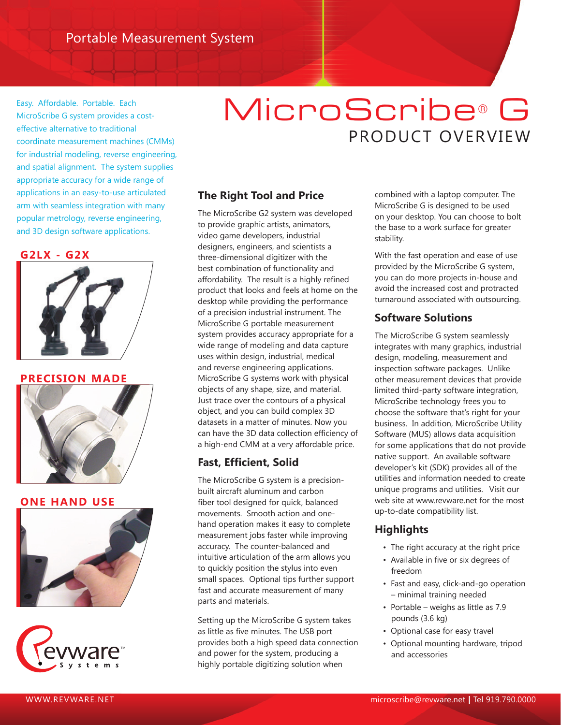Easy. Affordable. Portable. Each MicroScribe G system provides a costeffective alternative to traditional coordinate measurement machines (CMMs) for industrial modeling, reverse engineering, and spatial alignment. The system supplies appropriate accuracy for a wide range of applications in an easy-to-use articulated arm with seamless integration with many popular metrology, reverse engineering, and 3D design software applications.

#### **G2LX - G2X**



**PRECISION MADE**



## **ONE HAND USE**





# MicroScribe® G PRODUCT OVERVIEW

# **The Right Tool and Price**

The MicroScribe G2 system was developed to provide graphic artists, animators, video game developers, industrial designers, engineers, and scientists a three-dimensional digitizer with the best combination of functionality and affordability. The result is a highly refined product that looks and feels at home on the desktop while providing the performance of a precision industrial instrument. The MicroScribe G portable measurement system provides accuracy appropriate for a wide range of modeling and data capture uses within design, industrial, medical and reverse engineering applications. MicroScribe G systems work with physical objects of any shape, size, and material. Just trace over the contours of a physical object, and you can build complex 3D datasets in a matter of minutes. Now you can have the 3D data collection efficiency of a high-end CMM at a very affordable price.

# **Fast, Efficient, Solid**

The MicroScribe G system is a precisionbuilt aircraft aluminum and carbon fiber tool designed for quick, balanced movements. Smooth action and onehand operation makes it easy to complete measurement jobs faster while improving accuracy. The counter-balanced and intuitive articulation of the arm allows you to quickly position the stylus into even small spaces. Optional tips further support fast and accurate measurement of many parts and materials.

Setting up the MicroScribe G system takes as little as five minutes. The USB port provides both a high speed data connection and power for the system, producing a highly portable digitizing solution when

combined with a laptop computer. The MicroScribe G is designed to be used on your desktop. You can choose to bolt the base to a work surface for greater stability.

With the fast operation and ease of use provided by the MicroScribe G system, you can do more projects in-house and avoid the increased cost and protracted turnaround associated with outsourcing.

# **Software Solutions**

The MicroScribe G system seamlessly integrates with many graphics, industrial design, modeling, measurement and inspection software packages. Unlike other measurement devices that provide limited third-party software integration, MicroScribe technology frees you to choose the software that's right for your business. In addition, MicroScribe Utility Software (MUS) allows data acquisition for some applications that do not provide native support. An available software developer's kit (SDK) provides all of the utilities and information needed to create unique programs and utilities.Visit our web site at www.revware.net for the most up-to-date compatibility list.

# **Highlights**

- The right accuracy at the right price
- Available in five or six degrees of freedom
- Fast and easy, click-and-go operation – minimal training needed
- Portable weighs as little as 7.9 pounds (3.6 kg)
- Optional case for easy travel
- Optional mounting hardware, tripod and accessories